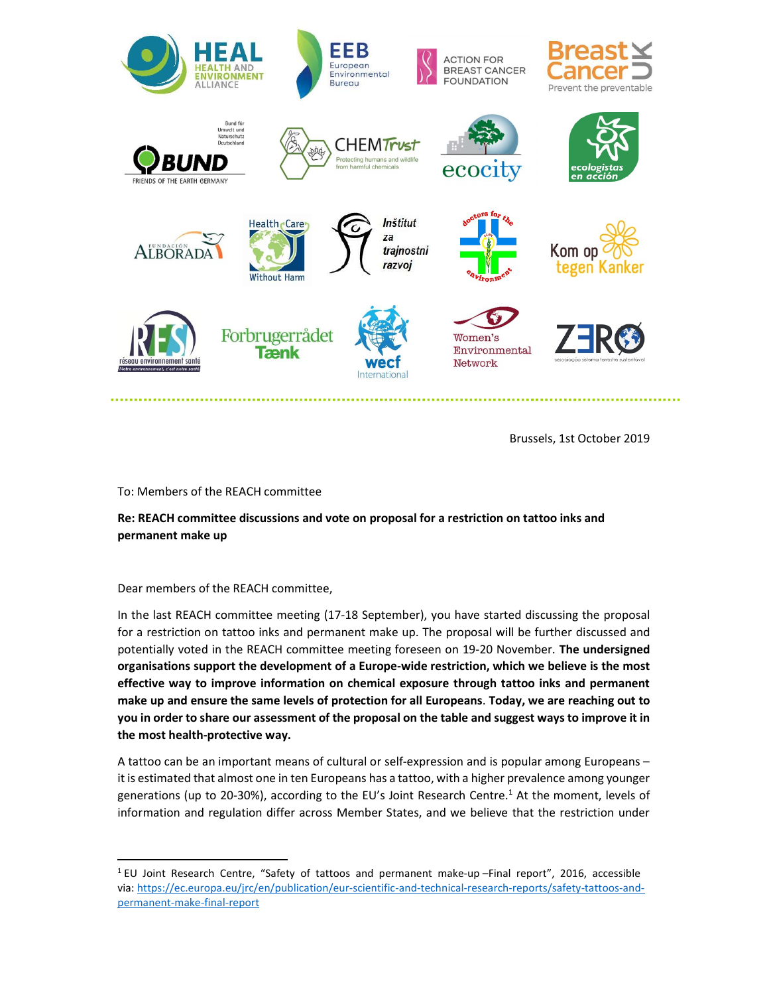

Brussels, 1st October 2019

To: Members of the REACH committee

## Re: REACH committee discussions and vote on proposal for a restriction on tattoo inks and permanent make up

Dear members of the REACH committee,

In the last REACH committee meeting (17-18 September), you have started discussing the proposal for a restriction on tattoo inks and permanent make up. The proposal will be further discussed and potentially voted in the REACH committee meeting foreseen on 19-20 November. The undersigned organisations support the development of a Europe-wide restriction, which we believe is the most effective way to improve information on chemical exposure through tattoo inks and permanent make up and ensure the same levels of protection for all Europeans. Today, we are reaching out to you in order to share our assessment of the proposal on the table and suggest ways to improve it in the most health-protective way.

A tattoo can be an important means of cultural or self-expression and is popular among Europeans – it is estimated that almost one in ten Europeans has a tattoo, with a higher prevalence among younger generations (up to 20-30%), according to the EU's Joint Research Centre.<sup>1</sup> At the moment, levels of information and regulation differ across Member States, and we believe that the restriction under

<sup>&</sup>lt;sup>1</sup> EU Joint Research Centre, "Safety of tattoos and permanent make-up-Final report", 2016, accessible via: https://ec.europa.eu/jrc/en/publication/eur-scientific-and-technical-research-reports/safety-tattoos-andpermanent-make-final-report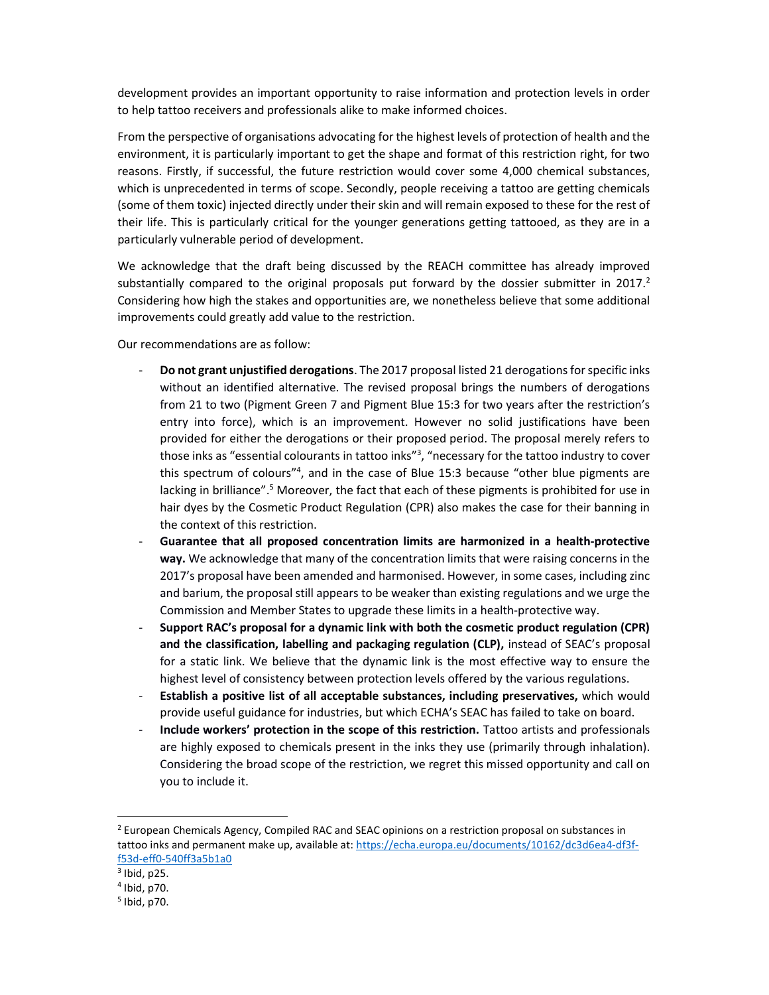development provides an important opportunity to raise information and protection levels in order to help tattoo receivers and professionals alike to make informed choices.

From the perspective of organisations advocating for the highest levels of protection of health and the environment, it is particularly important to get the shape and format of this restriction right, for two reasons. Firstly, if successful, the future restriction would cover some 4,000 chemical substances, which is unprecedented in terms of scope. Secondly, people receiving a tattoo are getting chemicals (some of them toxic) injected directly under their skin and will remain exposed to these for the rest of their life. This is particularly critical for the younger generations getting tattooed, as they are in a particularly vulnerable period of development.

We acknowledge that the draft being discussed by the REACH committee has already improved substantially compared to the original proposals put forward by the dossier submitter in  $2017<sup>2</sup>$ Considering how high the stakes and opportunities are, we nonetheless believe that some additional improvements could greatly add value to the restriction.

Our recommendations are as follow:

- Do not grant unjustified derogations. The 2017 proposal listed 21 derogations for specific inks without an identified alternative. The revised proposal brings the numbers of derogations from 21 to two (Pigment Green 7 and Pigment Blue 15:3 for two years after the restriction's entry into force), which is an improvement. However no solid justifications have been provided for either the derogations or their proposed period. The proposal merely refers to those inks as "essential colourants in tattoo inks"<sup>3</sup>, "necessary for the tattoo industry to cover this spectrum of colours"<sup>4</sup> , and in the case of Blue 15:3 because "other blue pigments are lacking in brilliance".<sup>5</sup> Moreover, the fact that each of these pigments is prohibited for use in hair dyes by the Cosmetic Product Regulation (CPR) also makes the case for their banning in the context of this restriction.
- Guarantee that all proposed concentration limits are harmonized in a health-protective way. We acknowledge that many of the concentration limits that were raising concerns in the 2017's proposal have been amended and harmonised. However, in some cases, including zinc and barium, the proposal still appears to be weaker than existing regulations and we urge the Commission and Member States to upgrade these limits in a health-protective way.
- Support RAC's proposal for a dynamic link with both the cosmetic product regulation (CPR) and the classification, labelling and packaging regulation (CLP), instead of SEAC's proposal for a static link. We believe that the dynamic link is the most effective way to ensure the highest level of consistency between protection levels offered by the various regulations.
- Establish a positive list of all acceptable substances, including preservatives, which would provide useful guidance for industries, but which ECHA's SEAC has failed to take on board.
- Include workers' protection in the scope of this restriction. Tattoo artists and professionals are highly exposed to chemicals present in the inks they use (primarily through inhalation). Considering the broad scope of the restriction, we regret this missed opportunity and call on you to include it.

<sup>&</sup>lt;sup>2</sup> European Chemicals Agency, Compiled RAC and SEAC opinions on a restriction proposal on substances in tattoo inks and permanent make up, available at: https://echa.europa.eu/documents/10162/dc3d6ea4-df3ff53d-eff0-540ff3a5b1a0

 $3$  Ibid, p25.

<sup>4</sup> Ibid, p70.

<sup>5</sup> Ibid, p70.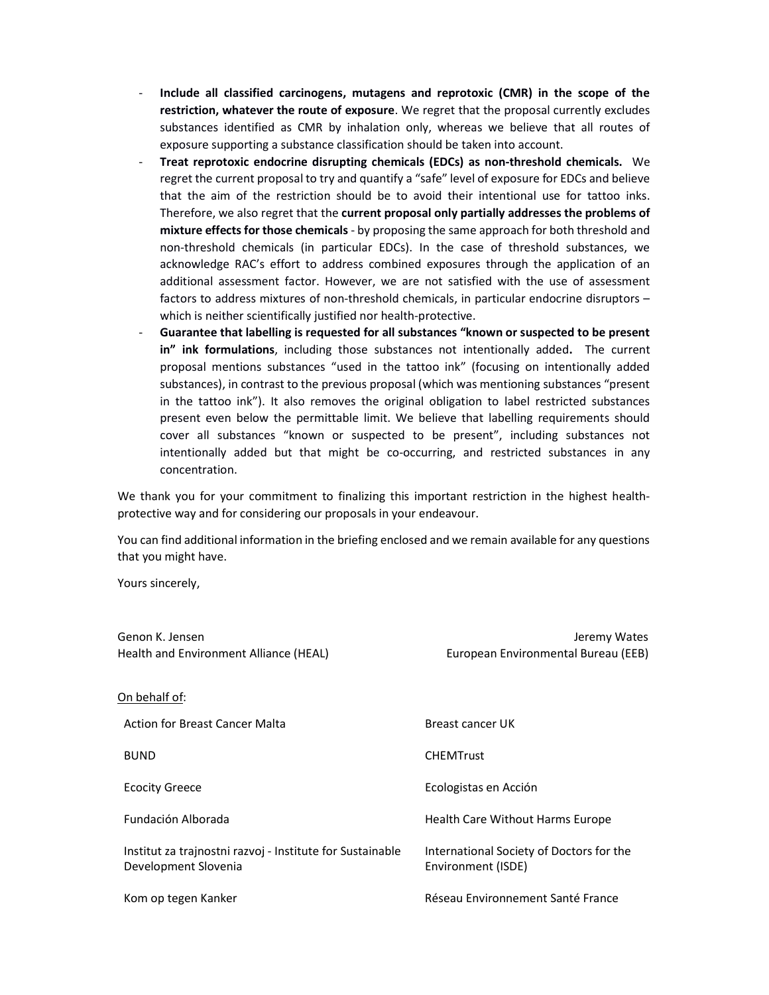- Include all classified carcinogens, mutagens and reprotoxic (CMR) in the scope of the restriction, whatever the route of exposure. We regret that the proposal currently excludes substances identified as CMR by inhalation only, whereas we believe that all routes of exposure supporting a substance classification should be taken into account.
- Treat reprotoxic endocrine disrupting chemicals (EDCs) as non-threshold chemicals. We regret the current proposal to try and quantify a "safe" level of exposure for EDCs and believe that the aim of the restriction should be to avoid their intentional use for tattoo inks. Therefore, we also regret that the current proposal only partially addresses the problems of mixture effects for those chemicals - by proposing the same approach for both threshold and non-threshold chemicals (in particular EDCs). In the case of threshold substances, we acknowledge RAC's effort to address combined exposures through the application of an additional assessment factor. However, we are not satisfied with the use of assessment factors to address mixtures of non-threshold chemicals, in particular endocrine disruptors – which is neither scientifically justified nor health-protective.
- Guarantee that labelling is requested for all substances "known or suspected to be present in" ink formulations, including those substances not intentionally added. The current proposal mentions substances "used in the tattoo ink" (focusing on intentionally added substances), in contrast to the previous proposal (which was mentioning substances "present in the tattoo ink"). It also removes the original obligation to label restricted substances present even below the permittable limit. We believe that labelling requirements should cover all substances "known or suspected to be present", including substances not intentionally added but that might be co-occurring, and restricted substances in any concentration.

We thank you for your commitment to finalizing this important restriction in the highest healthprotective way and for considering our proposals in your endeavour.

You can find additional information in the briefing enclosed and we remain available for any questions that you might have.

Yours sincerely,

| Genon K. Jensen                                                                   | Jeremy Wates                                                   |
|-----------------------------------------------------------------------------------|----------------------------------------------------------------|
| Health and Environment Alliance (HEAL)                                            | European Environmental Bureau (EEB)                            |
|                                                                                   |                                                                |
| On behalf of:                                                                     |                                                                |
| Action for Breast Cancer Malta                                                    | Breast cancer UK                                               |
| <b>BUND</b>                                                                       | <b>CHEMTrust</b>                                               |
| <b>Ecocity Greece</b>                                                             | Ecologistas en Acción                                          |
| Fundación Alborada                                                                | Health Care Without Harms Europe                               |
| Institut za trajnostni razvoj - Institute for Sustainable<br>Development Slovenia | International Society of Doctors for the<br>Environment (ISDE) |
| Kom op tegen Kanker                                                               | Réseau Environnement Santé France                              |